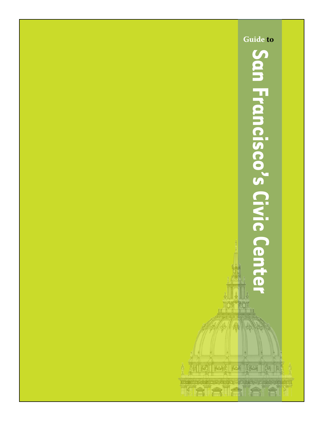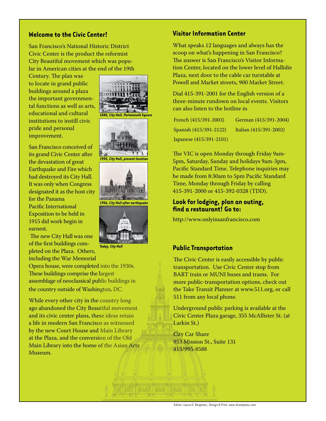## **Welcome to the Civic Center!**

San Francisco's National Historic District Civic Center is the product the reformist City Beautiful movement which was popular in American cities at the end of the 19th

Century. The plan was to locate in grand public buildings around a plaza the important governmental functions as well as arts, educational and cultural institutions to instill civic pride and personal improvement.

San Francisco conceived of its grand Civic Center after the devastation of great Earthquake and Fire which had destroyed its City Hall. It was only when Congress designated it as the host city for the Panama Pacific International Exposition to be held in 1915 did work begin in earnest.

 The new City Hall was one of the first buildings completed on the Plaza. Others, including the War Memorial

Opera house, were completed into the 1930s. These buildings comprise the largest assemblage of neoclassical public buildings in the country outside of Washington, DC.

While every other city in the country long ago abandoned the City Beautiful movement and its civic center plans, these ideas retain a life in modern San Francisco as witnessed by the new Court House and Main Library at the Plaza, and the conversion of the Old Main Library into the home of the Asian Arts Museum.





*1905, City Hall, present location*



et raž rat ška

*Today, City Hall*

## **Visitor Information Center**

What speaks 12 languages and always has the scoop on what's happening in San Francisco? The answer is San Francisco's Visitor Information Center, located on the lower level of Hallidie Plaza, next door to the cable car turntable at Powell and Market streets, 900 Market Street.

Dial 415-391-2001 for the English version of a three-minute rundown on local events. Visitors can also listen to the hotline in

| French (415/391-2003)   | German (415/391-2004)  |
|-------------------------|------------------------|
| Spanish (415/391-2122)  | Italian (415/391-2002) |
| Japanese (415/391-2101) |                        |

The VIC is open Monday through Friday 9am-5pm, Saturday, Sunday and holidays 9am-3pm, Pacific Standard Time. Telephone inquiries may be made from 8:30am to 5pm Pacific Standard Time, Monday through Friday by calling 415-391-2000 or 415-392-0328 (TDD).

# **Look for lodging, plan an outing, find a restaurant! Go to:**

http://www.onlyinsanfrancisco.com

#### **Public Transportation**

The Civic Center is easily accessible by public transportation. Use Civic Center stop from BART train or MUNI buses and trams. For more public-transportation options, check out the Take Transit Planner at www.511.org, or call 511 from any local phone.

Underground public parking is available at the Civic Center Plaza garage, 355 McAllister St. (at Larkin St.)

City Car Share 953 Mission St., Suite 131 415/995-8588

Editor: Laura O. Bergman; Design & Print: www.dcampeau.com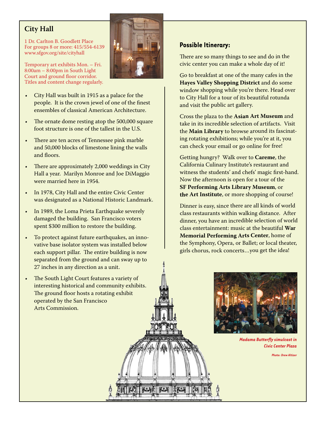# **City Hall**

1 Dr. Carlton B. Goodlett Place For groups 8 or more: 415/554-6139 www.sfgov.org/site/cityhall

Temporary art exhibits Mon. – Fri. 8:00am – 8:00pm in South Light Court and ground floor corridor. Titles and content change regularly.

- City Hall was built in 1915 as a palace for the people. It is the crown jewel of one of the finest ensembles of classical American Architecture.
- The ornate dome resting atop the 500,000 square foot structure is one of the tallest in the U.S.
- There are ten acres of Tennessee pink marble and 50,000 blocks of limestone lining the walls and floors.
- There are approximately 2,000 weddings in City Hall a year. Marilyn Monroe and Joe DiMaggio were married here in 1954.
- In 1978, City Hall and the entire Civic Center was designated as a National Historic Landmark.
- In 1989, the Loma Prieta Earthquake severely damaged the building. San Francisco voters spent \$300 million to restore the building.
- To protect against future earthquakes, an innovative base isolator system was installed below each support pillar. The entire building is now separated from the ground and can sway up to 27 inches in any direction as a unit.
- The South Light Court features a variety of interesting historical and community exhibits. The ground floor hosts a rotating exhibit operated by the San Francisco Arts Commission.



There are so many things to see and do in the civic center you can make a whole day of it!

Go to breakfast at one of the many cafes in the **Hayes Valley Shopping District** and do some window shopping while you're there. Head over to City Hall for a tour of its beautiful rotunda and visit the public art gallery.

Cross the plaza to the **Asian Art Museum** and take in its incredible selection of artifacts. Visit the **Main Library** to browse around its fascinating rotating exhibitions; while you're at it, you can check your email or go online for free!

Getting hungry? Walk over to **Careme**, the California Culinary Institute's restaurant and witness the students' and chefs' magic first-hand. Now the afternoon is open for a tour of the **SF Performing Arts Library Museum**, or **the Art Institute**, or more shopping of course!

Dinner is easy, since there are all kinds of world class restaurants within walking distance. After dinner, you have an incredible selection of world class entertainment: music at the beautiful **War Memorial Performing Arts Center**, home of the Symphony, Opera, or Ballet; or local theater, girls chorus, rock concerts…you get the idea!



*Madama Butterfly simulcast in Civic Center Plaza* 

**Photo: Drew Altize** 



家人

 $28.3$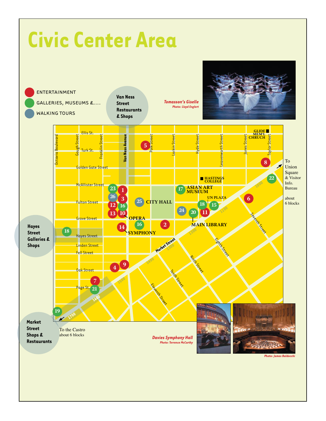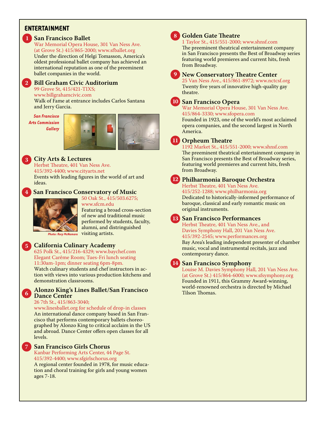# **Entertainment**

## **San Francisco Ballet 1**

War Memorial Opera House, 301 Van Ness Ave. (at Grove St.) 415/865-2000; www.sfballet.org Under the direction of Helgi Tomasson, America's oldest professional ballet company has achieved an international reputation as one of the preeminent ballet companies in the world.

# **Bill Graham Civic Auditorium 2**

99 Grove St, 415/421-TIXS;

www.billgrahamcivic.com

Walk of Fame at entrance includes Carlos Santana and Jerry Garcia.

*San Francisco Arts Commission Gallery*



# **City Arts & Lectures 3**

Herbst Theatre, 401 Van Ness Ave. 415/392-4400; www.cityarts.net Events with leading figures in the world of art and ideas.

## **San Francisco Conservatory of Music**



50 Oak St., 415/503.6275; www.sfcm.edu

Featuring a broad cross-section of new and traditional music performed by students, faculty, alumni, and distringuished

Photo: Rory McNamara Visiting artists.

#### **California Culinary Academy**

625 Polk St., 415/216-4329; www.baychef.com Elegant Carême Room; Tues-Fri lunch seating 11:30am-1pm; dinner seating 6pm-8pm.

Watch culinary students and chef instructors in action with views into various production kitchens and demonstration classrooms.

### **Alonzo King's Lines Ballet/San Francisco Dance Center 6**

#### 26 7th St., 415/863-3040;

www.linesballet.org for schedule of drop-in classes An international dance company based in San Francisco that performs contemporary ballets choreographed by Alonzo King to critical acclaim in the US and abroad. Dance Center offers open classes for all levels.

## **7**

**5**

**4**

### **San Francisco Girls Chorus**

Kanbar Performing Arts Center, 44 Page St. 415/392-4400; www.sfgirlschorus.org A regional center founded in 1978, for music education and choral training for girls and young women ages 7-18.

# **8**

#### **Golden Gate Theatre**  1 Taylor St., 415/551-2000; www.shnsf.com

The preeminent theatrical entertainment company in San Francisco presents the Best of Broadway series featuring world premieres and current hits, fresh from Broadway.

**9**

### **New Conservatory Theatre Center**

25 Van Ness Ave., 415/861-8972; www.nctcsf.org Twenty five years of innovative high-quality gay theatre.



# **San Francisco Opera 10**

War Memorial Opera House, 301 Van Ness Ave. 415/864-3330; www.sfopera.com

Founded in 1923, one of the world's most acclaimed opera companies, and the second largest in North America.

**Orpheum Theatre 11**

1192 Market St., 415/551-2000; www.shnsf.com The preeminent theatrical entertainment company in San Francisco presents the Best of Broadway series, featuring world premieres and current hits, fresh from Broadway.



# **Philharmonia Baroque Orchestra 12**

Herbst Theatre, 401 Van Ness Ave. 415/252-1288; www.philharmonia.org Dedicated to historically-informed performance of baroque, classical and early romantic music on original instruments.

**San Francisco Performances 13**

Herbst Theatre, 401 Van Ness Ave., and Davies Symphony Hall, 201 Van Ness Ave. 415/392-2545; www.performances.org

Bay Area's leading independent presenter of chamber music, vocal and instrumental recitals, jazz and contemporary dance.

# **San Francisco Symphony 14**

Louise M. Davies Symphony Hall, 201 Van Ness Ave. (at Grove St.) 415/864-6000; www.sfsymphony.org Founded in 1911, this Grammy Award-winning, world-renowned orchestra is directed by Michael Tilson Thomas.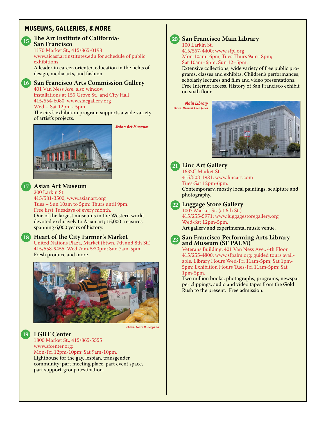# **Museums, Galleries, & More**



#### **The Art Institute of California-San Francisco**

1170 Market St., 415/865-0198 www.aicasf.artinstitutes.edu for schedule of public exhibitions A leader in career-oriented education in the fields of

design, media arts, and fashion.



# **San Francisco Arts Commission Gallery 16**

401 Van Ness Ave. also window installations at 155 Grove St., and City Hall 415/554-6080; www.sfacgallery.org Wed – Sat 12pm - 5pm.

The city's exhibition program supports a wide variety of artist's projects.



*Asian Art Museum*



200 Larkin St. 415/581-3500; www.asianart.org Tues – Sun 10am to 5pm; Thurs until 9pm. Free first Tuesdays of every month. One of the largest museums in the Western world devoted exclusively to Asian art; 15,000 treasures spanning 6,000 years of history.

# **Heart of the City Farmer's Market 18**

United Nations Plaza, Market (btwn. 7th and 8th St.) 415/558-9455, Wed 7am-5:30pm; Sun 7am-5pm. Fresh produce and more.



*Photo: Laura O. Bergman*

**LGBT Center 19** 1800 Market St., 415/865-5555 www.sfcenter.org; Mon-Fri 12pm-10pm; Sat 9am-10pm. Lighthouse for the gay, lesbian, transgender community: part meeting place, part event space, part support-group destination.



# **San Francisco Main Library 20**

100 Larkin St. 415/557-4400; www.sfpl.org Mon 10am–6pm; Tues-Thurs 9am–8pm; Sat 10am–6pm; Sun 12–5pm.

Extensive collections, wide variety of free public programs, classes and exhibits. Children's performances, scholarly lectures and film and video presentations. Free Internet access. History of San Francisco exhibit on sixth floor.

*Main Library Photo: Michael Allen Jones*





# **Linc Art Gallery 21**

1632C Market St. 415/503-1981; www.lincart.com Tues-Sat 12pm-6pm. Contemporary, mostly local paintings, sculpture and photography.



# **Luggage Store Gallery 22**

1007 Market St. (at 6th St.) 415/255-5971; www.luggagestoregallery.org Wed-Sat 12pm-5pm. Art gallery and experimental music venue.



#### **San Francisco Performing Arts Library and Museum (SF PALM)**

Veterans Building, 401 Van Ness Ave., 4th Floor 415/255-4800; www.sfpalm.org; guided tours available. Library Hours Wed-Fri 11am-5pm; Sat 1pm-5pm; Exhibition Hours Tues-Fri 11am-5pm; Sat 1pm-5pm.

Two million books, photographs, programs, newspaper clippings, audio and video tapes from the Gold Rush to the present. Free admission.